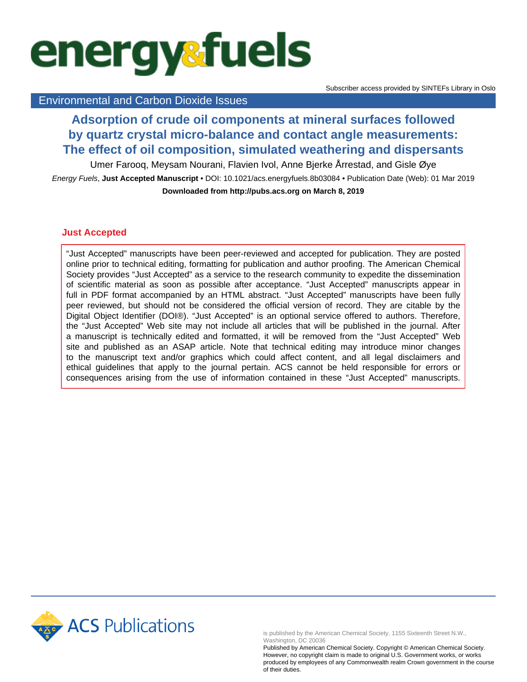# **energysfuels**

## Environmental and Carbon Dioxide Issues

# **Adsorption of crude oil components at mineral surfaces followed by quartz crystal micro-balance and contact angle measurements: The effect of oil composition, simulated weathering and dispersants**

Umer Farooq, Meysam Nourani, Flavien Ivol, Anne Bjerke Årrestad, and Gisle Øye

Energy Fuels, **Just Accepted Manuscript** • DOI: 10.1021/acs.energyfuels.8b03084 • Publication Date (Web): 01 Mar 2019 **Downloaded from http://pubs.acs.org on March 8, 2019**

## **Just Accepted**

"Just Accepted" manuscripts have been peer-reviewed and accepted for publication. They are posted online prior to technical editing, formatting for publication and author proofing. The American Chemical Society provides "Just Accepted" as a service to the research community to expedite the dissemination of scientific material as soon as possible after acceptance. "Just Accepted" manuscripts appear in full in PDF format accompanied by an HTML abstract. "Just Accepted" manuscripts have been fully peer reviewed, but should not be considered the official version of record. They are citable by the Digital Object Identifier (DOI®). "Just Accepted" is an optional service offered to authors. Therefore, the "Just Accepted" Web site may not include all articles that will be published in the journal. After a manuscript is technically edited and formatted, it will be removed from the "Just Accepted" Web site and published as an ASAP article. Note that technical editing may introduce minor changes to the manuscript text and/or graphics which could affect content, and all legal disclaimers and ethical guidelines that apply to the journal pertain. ACS cannot be held responsible for errors or consequences arising from the use of information contained in these "Just Accepted" manuscripts.



is published by the American Chemical Society. 1155 Sixteenth Street N.W., Washington, DC 20036

Published by American Chemical Society. Copyright © American Chemical Society. However, no copyright claim is made to original U.S. Government works, or works produced by employees of any Commonwealth realm Crown government in the course of their duties.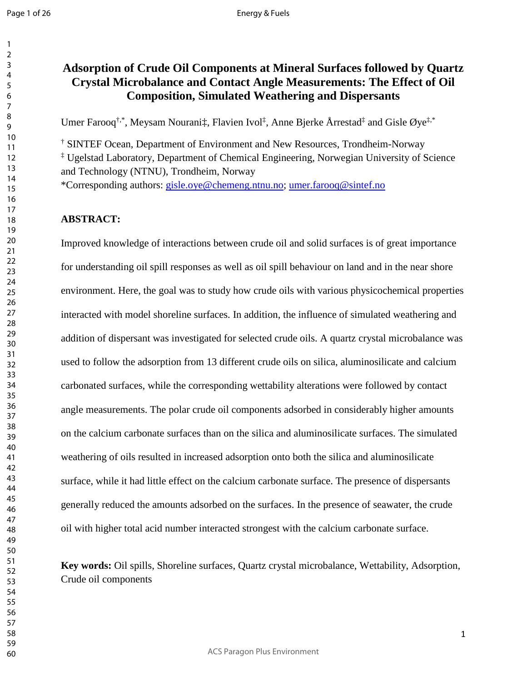# **Adsorption of Crude Oil Components at Mineral Surfaces followed by Quartz Crystal Microbalance and Contact Angle Measurements: The Effect of Oil Composition, Simulated Weathering and Dispersants**

Umer Farooq<sup>†,\*</sup>, Meysam Nourani‡, Flavien Ivol<sup>‡</sup>, Anne Bjerke Årrestad<sup>‡</sup> and Gisle Øye<sup>‡,\*</sup>

† SINTEF Ocean, Department of Environment and New Resources, Trondheim-Norway

‡ Ugelstad Laboratory, Department of Chemical Engineering, Norwegian University of Science and Technology (NTNU), Trondheim, Norway

\*Corresponding authors: [gisle.oye@chemeng.ntnu.no;](mailto:gisle.oye@chemeng.ntnu.no) [umer.farooq@sintef.no](mailto:umer.farooq@sintef.no)

#### **ABSTRACT:**

Improved knowledge of interactions between crude oil and solid surfaces is of great importance for understanding oil spill responses as well as oil spill behaviour on land and in the near shore environment. Here, the goal was to study how crude oils with various physicochemical properties interacted with model shoreline surfaces. In addition, the influence of simulated weathering and addition of dispersant was investigated for selected crude oils. A quartz crystal microbalance was used to follow the adsorption from 13 different crude oils on silica, aluminosilicate and calcium carbonated surfaces, while the corresponding wettability alterations were followed by contact angle measurements. The polar crude oil components adsorbed in considerably higher amounts on the calcium carbonate surfaces than on the silica and aluminosilicate surfaces. The simulated weathering of oils resulted in increased adsorption onto both the silica and aluminosilicate surface, while it had little effect on the calcium carbonate surface. The presence of dispersants generally reduced the amounts adsorbed on the surfaces. In the presence of seawater, the crude oil with higher total acid number interacted strongest with the calcium carbonate surface.

**Key words:** Oil spills, Shoreline surfaces, Quartz crystal microbalance, Wettability, Adsorption, Crude oil components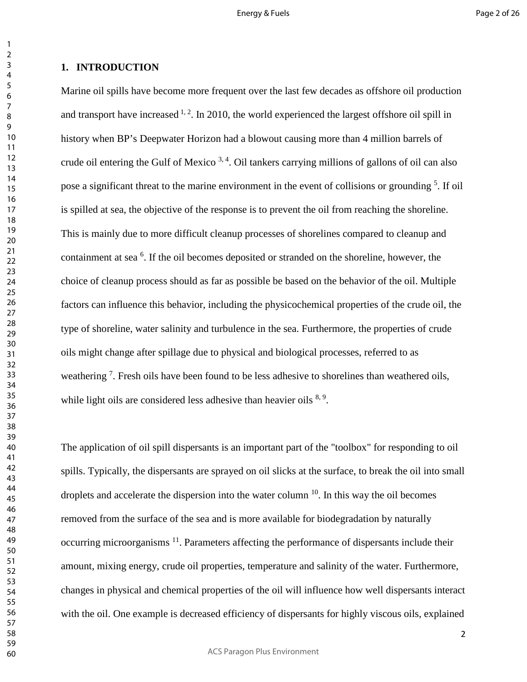#### **1. INTRODUCTION**

Marine oil spills have become more frequent over the last few decades as offshore oil production and transport have increased  $1, 2$ . In 2010, the world experienced the largest offshore oil spill in history when BP's Deepwater Horizon had a blowout causing more than 4 million barrels of crude oil entering the Gulf of Mexico  $3, 4$ . Oil tankers carrying millions of gallons of oil can also pose a significant threat to the marine environment in the event of collisions or grounding <sup>5</sup>. If oil is spilled at sea, the objective of the response is to prevent the oil from reaching the shoreline. This is mainly due to more difficult cleanup processes of shorelines compared to cleanup and containment at sea <sup>6</sup>. If the oil becomes deposited or stranded on the shoreline, however, the choice of cleanup process should as far as possible be based on the behavior of the oil. Multiple factors can influence this behavior, including the physicochemical properties of the crude oil, the type of shoreline, water salinity and turbulence in the sea. Furthermore, the properties of crude oils might change after spillage due to physical and biological processes, referred to as weathering<sup>7</sup>. Fresh oils have been found to be less adhesive to shorelines than weathered oils, while light oils are considered less adhesive than heavier oils  $8,9$ .

The application of oil spill dispersants is an important part of the "toolbox" for responding to oil spills. Typically, the dispersants are sprayed on oil slicks at the surface, to break the oil into small droplets and accelerate the dispersion into the water column . In this way the oil becomes removed from the surface of the sea and is more available for biodegradation by naturally occurring microorganisms  $^{11}$ . Parameters affecting the performance of dispersants include their amount, mixing energy, crude oil properties, temperature and salinity of the water. Furthermore, changes in physical and chemical properties of the oil will influence how well dispersants interact with the oil. One example is decreased efficiency of dispersants for highly viscous oils, explained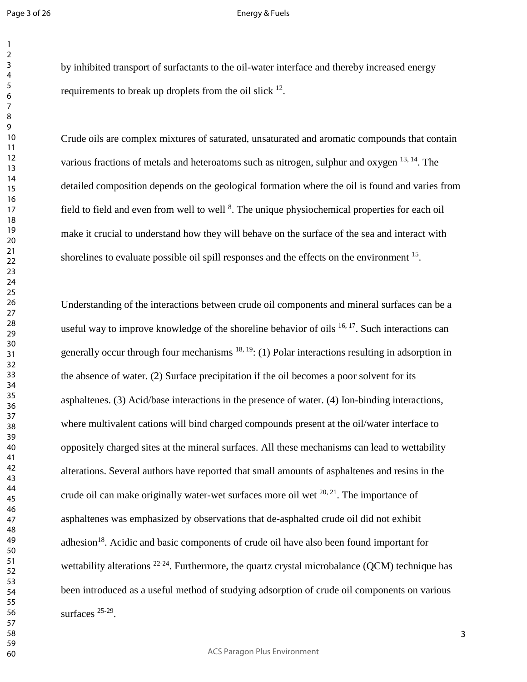#### Energy & Fuels

by inhibited transport of surfactants to the oil-water interface and thereby increased energy requirements to break up droplets from the oil slick .

Crude oils are complex mixtures of saturated, unsaturated and aromatic compounds that contain various fractions of metals and heteroatoms such as nitrogen, sulphur and oxygen  $^{13, 14}$ . The detailed composition depends on the geological formation where the oil is found and varies from field to field and even from well to well <sup>8</sup>. The unique physiochemical properties for each oil make it crucial to understand how they will behave on the surface of the sea and interact with shorelines to evaluate possible oil spill responses and the effects on the environment <sup>15</sup>.

Understanding of the interactions between crude oil components and mineral surfaces can be a useful way to improve knowledge of the shoreline behavior of oils  $^{16, 17}$ . Such interactions can generally occur through four mechanisms  $^{18, 19}$ : (1) Polar interactions resulting in adsorption in the absence of water. (2) Surface precipitation if the oil becomes a poor solvent for its asphaltenes. (3) Acid/base interactions in the presence of water. (4) Ion-binding interactions, where multivalent cations will bind charged compounds present at the oil/water interface to oppositely charged sites at the mineral surfaces. All these mechanisms can lead to wettability alterations. Several authors have reported that small amounts of asphaltenes and resins in the crude oil can make originally water-wet surfaces more oil wet  $20, 21$ . The importance of asphaltenes was emphasized by observations that de-asphalted crude oil did not exhibit adhesion<sup>18</sup>. Acidic and basic components of crude oil have also been found important for wettability alterations  $22-24$ . Furthermore, the quartz crystal microbalance (QCM) technique has been introduced as a useful method of studying adsorption of crude oil components on various surfaces  $25-29$ .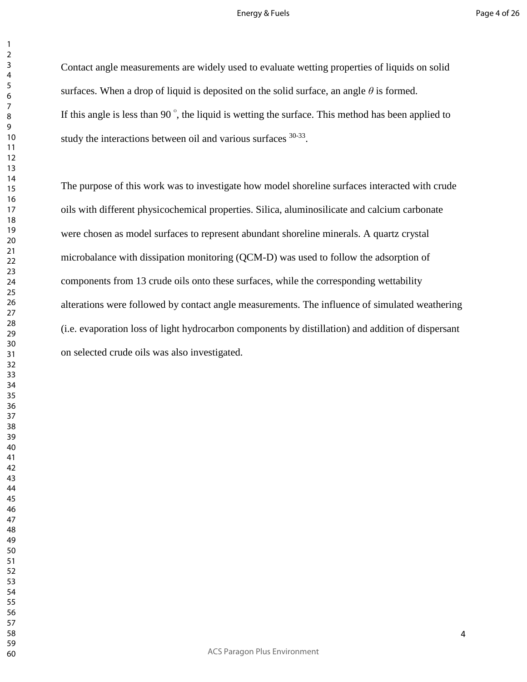#### Energy & Fuels

Contact angle measurements are widely used to evaluate wetting properties of liquids on solid surfaces. When a drop of liquid is deposited on the solid surface, an angle  $\theta$  is formed. If this angle is less than 90 $\degree$ , the liquid is wetting the surface. This method has been applied to study the interactions between oil and various surfaces  $30-33$ .

The purpose of this work was to investigate how model shoreline surfaces interacted with crude oils with different physicochemical properties. Silica, aluminosilicate and calcium carbonate were chosen as model surfaces to represent abundant shoreline minerals. A quartz crystal microbalance with dissipation monitoring (QCM-D) was used to follow the adsorption of components from 13 crude oils onto these surfaces, while the corresponding wettability alterations were followed by contact angle measurements. The influence of simulated weathering (i.e. evaporation loss of light hydrocarbon components by distillation) and addition of dispersant on selected crude oils was also investigated.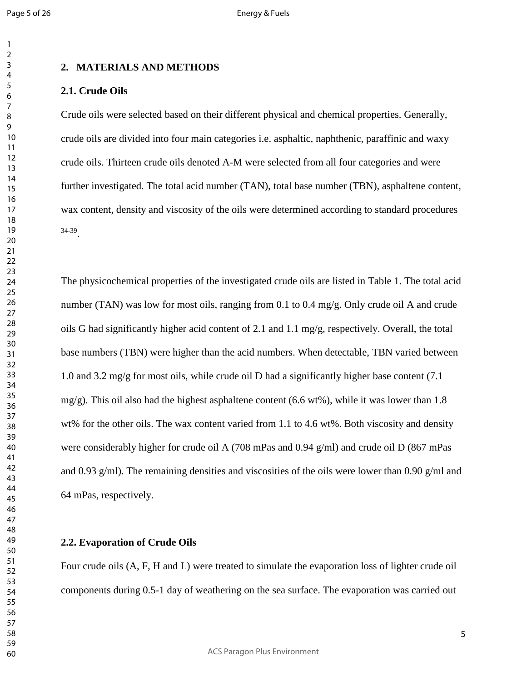## **2. MATERIALS AND METHODS**

#### **2.1. Crude Oils**

Crude oils were selected based on their different physical and chemical properties. Generally, crude oils are divided into four main categories i.e. asphaltic, naphthenic, paraffinic and waxy crude oils. Thirteen crude oils denoted A-M were selected from all four categories and were further investigated. The total acid number (TAN), total base number (TBN), asphaltene content, wax content, density and viscosity of the oils were determined according to standard procedures 34-39.

The physicochemical properties of the investigated crude oils are listed in Table 1. The total acid number (TAN) was low for most oils, ranging from 0.1 to 0.4 mg/g. Only crude oil A and crude oils G had significantly higher acid content of 2.1 and 1.1 mg/g, respectively. Overall, the total base numbers (TBN) were higher than the acid numbers. When detectable, TBN varied between 1.0 and 3.2 mg/g for most oils, while crude oil D had a significantly higher base content (7.1 mg/g). This oil also had the highest asphaltene content  $(6.6 \text{ wt\%})$ , while it was lower than 1.8 wt% for the other oils. The wax content varied from 1.1 to 4.6 wt%. Both viscosity and density were considerably higher for crude oil A (708 mPas and 0.94 g/ml) and crude oil D (867 mPas and 0.93 g/ml). The remaining densities and viscosities of the oils were lower than 0.90 g/ml and 64 mPas, respectively.

#### **2.2. Evaporation of Crude Oils**

Four crude oils (A, F, H and L) were treated to simulate the evaporation loss of lighter crude oil components during 0.5-1 day of weathering on the sea surface. The evaporation was carried out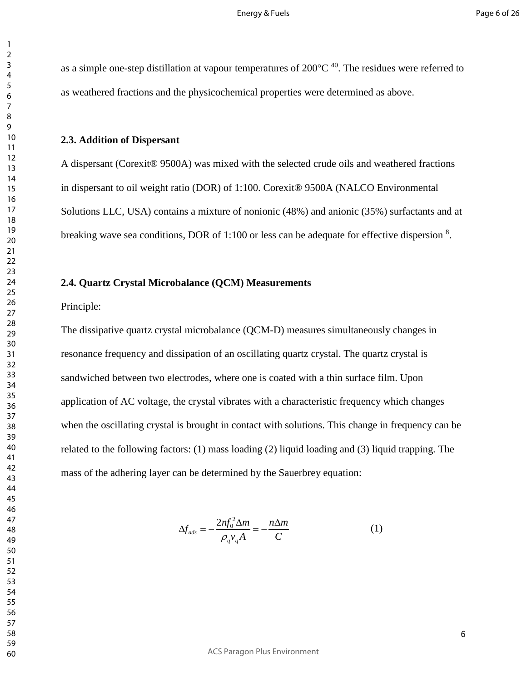as a simple one-step distillation at vapour temperatures of  $200^{\circ}$ C <sup>40</sup>. The residues were referred to as weathered fractions and the physicochemical properties were determined as above.

#### **2.3. Addition of Dispersant**

A dispersant (Corexit® 9500A) was mixed with the selected crude oils and weathered fractions in dispersant to oil weight ratio (DOR) of 1:100. Corexit® 9500A (NALCO Environmental Solutions LLC, USA) contains a mixture of nonionic (48%) and anionic (35%) surfactants and at breaking wave sea conditions, DOR of 1:100 or less can be adequate for effective dispersion .

#### **2.4. Quartz Crystal Microbalance (QCM) Measurements**

Principle:

The dissipative quartz crystal microbalance (QCM-D) measures simultaneously changes in resonance frequency and dissipation of an oscillating quartz crystal. The quartz crystal is sandwiched between two electrodes, where one is coated with a thin surface film. Upon application of AC voltage, the crystal vibrates with a characteristic frequency which changes when the oscillating crystal is brought in contact with solutions. This change in frequency can be related to the following factors: (1) mass loading (2) liquid loading and (3) liquid trapping. The mass of the adhering layer can be determined by the Sauerbrey equation:

$$
\Delta f_{ads} = -\frac{2nf_0^2 \Delta m}{\rho_q v_q A} = -\frac{n\Delta m}{C} \tag{1}
$$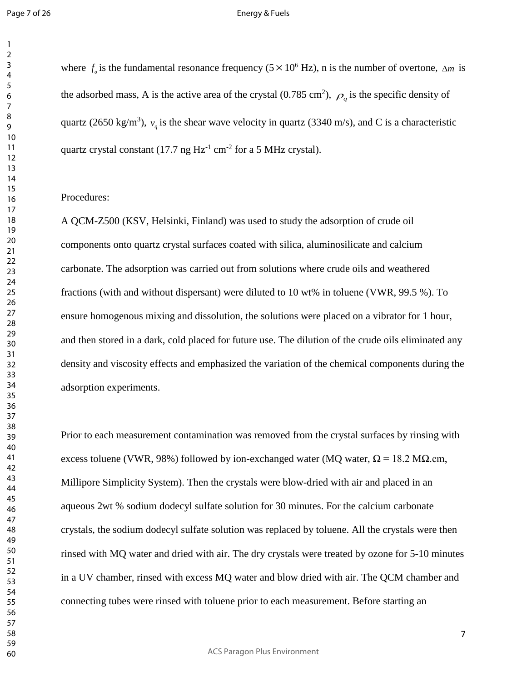#### Energy & Fuels

where  $f_o$  is the fundamental resonance frequency (5 × 10<sup>6</sup> Hz), n is the number of overtone,  $\Delta m$  is the adsorbed mass, A is the active area of the crystal (0.785 cm<sup>2</sup>),  $\rho_q$  is the specific density of quartz (2650 kg/m<sup>3</sup>),  $v_q$  is the shear wave velocity in quartz (3340 m/s), and C is a characteristic quartz crystal constant (17.7 ng  $Hz^{-1}$  cm<sup>-2</sup> for a 5 MHz crystal).

#### Procedures:

A QCM-Z500 (KSV, Helsinki, Finland) was used to study the adsorption of crude oil components onto quartz crystal surfaces coated with silica, aluminosilicate and calcium carbonate. The adsorption was carried out from solutions where crude oils and weathered fractions (with and without dispersant) were diluted to 10 wt% in toluene (VWR, 99.5 %). To ensure homogenous mixing and dissolution, the solutions were placed on a vibrator for 1 hour, and then stored in a dark, cold placed for future use. The dilution of the crude oils eliminated any density and viscosity effects and emphasized the variation of the chemical components during the adsorption experiments.

Prior to each measurement contamination was removed from the crystal surfaces by rinsing with excess toluene (VWR, 98%) followed by ion-exchanged water (MQ water,  $\Omega = 18.2$  MΩ.cm, Millipore Simplicity System). Then the crystals were blow-dried with air and placed in an aqueous 2wt % sodium dodecyl sulfate solution for 30 minutes. For the calcium carbonate crystals, the sodium dodecyl sulfate solution was replaced by toluene. All the crystals were then rinsed with MQ water and dried with air. The dry crystals were treated by ozone for 5-10 minutes in a UV chamber, rinsed with excess MQ water and blow dried with air. The QCM chamber and connecting tubes were rinsed with toluene prior to each measurement. Before starting an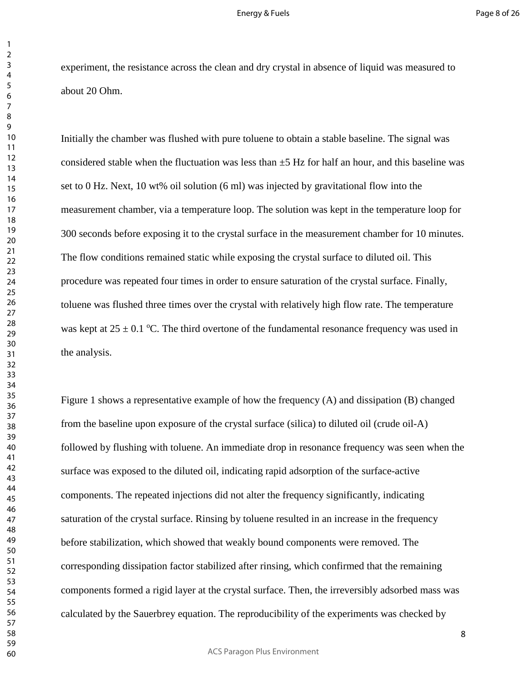experiment, the resistance across the clean and dry crystal in absence of liquid was measured to about 20 Ohm.

Initially the chamber was flushed with pure toluene to obtain a stable baseline. The signal was considered stable when the fluctuation was less than  $\pm$ 5 Hz for half an hour, and this baseline was set to 0 Hz. Next, 10 wt% oil solution (6 ml) was injected by gravitational flow into the measurement chamber, via a temperature loop. The solution was kept in the temperature loop for 300 seconds before exposing it to the crystal surface in the measurement chamber for 10 minutes. The flow conditions remained static while exposing the crystal surface to diluted oil. This procedure was repeated four times in order to ensure saturation of the crystal surface. Finally, toluene was flushed three times over the crystal with relatively high flow rate. The temperature was kept at  $25 \pm 0.1$  °C. The third overtone of the fundamental resonance frequency was used in the analysis.

Figure 1 shows a representative example of how the frequency (A) and dissipation (B) changed from the baseline upon exposure of the crystal surface (silica) to diluted oil (crude oil-A) followed by flushing with toluene. An immediate drop in resonance frequency was seen when the surface was exposed to the diluted oil, indicating rapid adsorption of the surface-active components. The repeated injections did not alter the frequency significantly, indicating saturation of the crystal surface. Rinsing by toluene resulted in an increase in the frequency before stabilization, which showed that weakly bound components were removed. The corresponding dissipation factor stabilized after rinsing, which confirmed that the remaining components formed a rigid layer at the crystal surface. Then, the irreversibly adsorbed mass was calculated by the Sauerbrey equation. The reproducibility of the experiments was checked by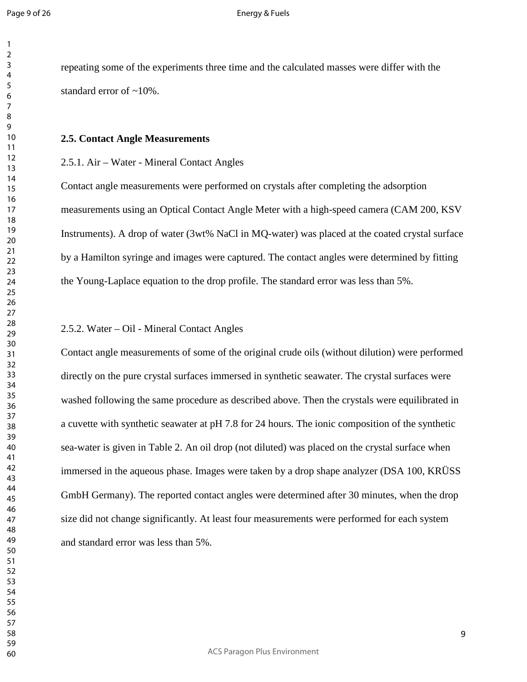repeating some of the experiments three time and the calculated masses were differ with the standard error of ~10%.

#### **2.5. Contact Angle Measurements**

#### 2.5.1. Air – Water - Mineral Contact Angles

Contact angle measurements were performed on crystals after completing the adsorption measurements using an Optical Contact Angle Meter with a high-speed camera (CAM 200, KSV Instruments). A drop of water (3wt% NaCl in MQ-water) was placed at the coated crystal surface by a Hamilton syringe and images were captured. The contact angles were determined by fitting the Young-Laplace equation to the drop profile. The standard error was less than 5%.

#### 2.5.2. Water – Oil - Mineral Contact Angles

Contact angle measurements of some of the original crude oils (without dilution) were performed directly on the pure crystal surfaces immersed in synthetic seawater. The crystal surfaces were washed following the same procedure as described above. Then the crystals were equilibrated in a cuvette with synthetic seawater at pH 7.8 for 24 hours. The ionic composition of the synthetic sea-water is given in Table 2. An oil drop (not diluted) was placed on the crystal surface when immersed in the aqueous phase. Images were taken by a drop shape analyzer (DSA 100, KRÜSS GmbH Germany). The reported contact angles were determined after 30 minutes, when the drop size did not change significantly. At least four measurements were performed for each system and standard error was less than 5%.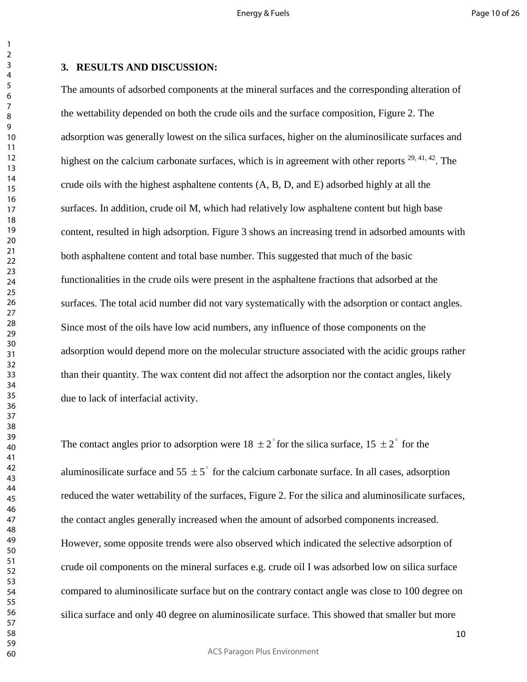# **3. RESULTS AND DISCUSSION:**

The amounts of adsorbed components at the mineral surfaces and the corresponding alteration of the wettability depended on both the crude oils and the surface composition, Figure 2. The adsorption was generally lowest on the silica surfaces, higher on the aluminosilicate surfaces and highest on the calcium carbonate surfaces, which is in agreement with other reports <sup>29, 41, 42</sup>. The crude oils with the highest asphaltene contents (A, B, D, and E) adsorbed highly at all the surfaces. In addition, crude oil M, which had relatively low asphaltene content but high base content, resulted in high adsorption. Figure 3 shows an increasing trend in adsorbed amounts with both asphaltene content and total base number. This suggested that much of the basic functionalities in the crude oils were present in the asphaltene fractions that adsorbed at the surfaces. The total acid number did not vary systematically with the adsorption or contact angles. Since most of the oils have low acid numbers, any influence of those components on the adsorption would depend more on the molecular structure associated with the acidic groups rather than their quantity. The wax content did not affect the adsorption nor the contact angles, likely due to lack of interfacial activity.

The contact angles prior to adsorption were  $18 \pm 2^{\degree}$  for the silica surface,  $15 \pm 2^{\degree}$  for the aluminosilicate surface and  $55 \pm 5^\circ$  for the calcium carbonate surface. In all cases, adsorption reduced the water wettability of the surfaces, Figure 2. For the silica and aluminosilicate surfaces, the contact angles generally increased when the amount of adsorbed components increased. However, some opposite trends were also observed which indicated the selective adsorption of crude oil components on the mineral surfaces e.g. crude oil I was adsorbed low on silica surface compared to aluminosilicate surface but on the contrary contact angle was close to 100 degree on silica surface and only 40 degree on aluminosilicate surface. This showed that smaller but more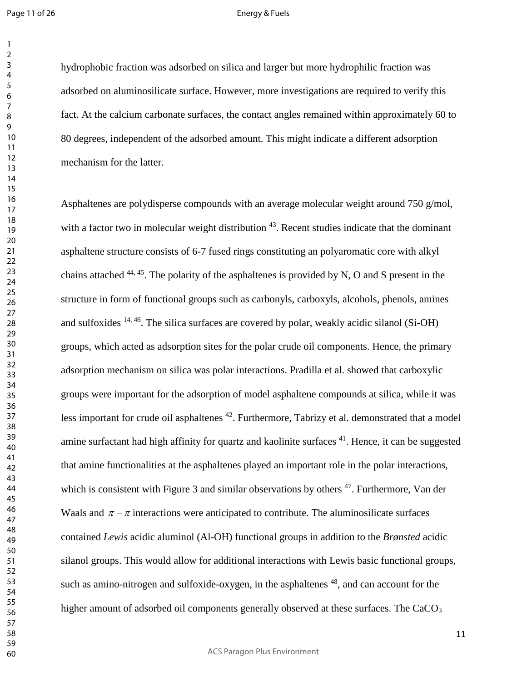#### Energy & Fuels

hydrophobic fraction was adsorbed on silica and larger but more hydrophilic fraction was adsorbed on aluminosilicate surface. However, more investigations are required to verify this fact. At the calcium carbonate surfaces, the contact angles remained within approximately 60 to 80 degrees, independent of the adsorbed amount. This might indicate a different adsorption mechanism for the latter.

Asphaltenes are polydisperse compounds with an average molecular weight around 750 g/mol, with a factor two in molecular weight distribution . Recent studies indicate that the dominant asphaltene structure consists of 6-7 fused rings constituting an polyaromatic core with alkyl chains attached  $44, 45$ . The polarity of the asphaltenes is provided by N, O and S present in the structure in form of functional groups such as carbonyls, carboxyls, alcohols, phenols, amines and sulfoxides  $^{14, 46}$ . The silica surfaces are covered by polar, weakly acidic silanol (Si-OH) groups, which acted as adsorption sites for the polar crude oil components. Hence, the primary adsorption mechanism on silica was polar interactions. Pradilla et al. showed that carboxylic groups were important for the adsorption of model asphaltene compounds at silica, while it was less important for crude oil asphaltenes . Furthermore, Tabrizy et al. demonstrated that a model amine surfactant had high affinity for quartz and kaolinite surfaces . Hence, it can be suggested that amine functionalities at the asphaltenes played an important role in the polar interactions, which is consistent with Figure 3 and similar observations by others . Furthermore, Van der Waals and  $\pi - \pi$  interactions were anticipated to contribute. The aluminosilicate surfaces contained *Lewis* acidic aluminol (Al-OH) functional groups in addition to the *Brønsted* acidic silanol groups. This would allow for additional interactions with Lewis basic functional groups, such as amino-nitrogen and sulfoxide-oxygen, in the asphaltenes  $^{48}$ , and can account for the higher amount of adsorbed oil components generally observed at these surfaces. The  $CaCO<sub>3</sub>$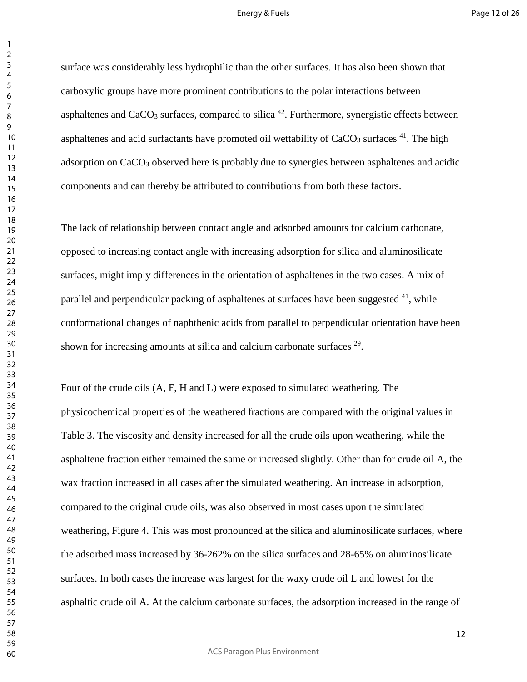#### Energy & Fuels

surface was considerably less hydrophilic than the other surfaces. It has also been shown that carboxylic groups have more prominent contributions to the polar interactions between asphaltenes and  $CaCO<sub>3</sub>$  surfaces, compared to silica <sup>42</sup>. Furthermore, synergistic effects between asphaltenes and acid surfactants have promoted oil wettability of  $CaCO<sub>3</sub>$  surfaces  $^{41}$ . The high adsorption on  $CaCO<sub>3</sub>$  observed here is probably due to synergies between asphaltenes and acidic components and can thereby be attributed to contributions from both these factors.

The lack of relationship between contact angle and adsorbed amounts for calcium carbonate, opposed to increasing contact angle with increasing adsorption for silica and aluminosilicate surfaces, might imply differences in the orientation of asphaltenes in the two cases. A mix of parallel and perpendicular packing of asphaltenes at surfaces have been suggested , while conformational changes of naphthenic acids from parallel to perpendicular orientation have been shown for increasing amounts at silica and calcium carbonate surfaces <sup>29</sup>.

Four of the crude oils (A, F, H and L) were exposed to simulated weathering. The physicochemical properties of the weathered fractions are compared with the original values in Table 3. The viscosity and density increased for all the crude oils upon weathering, while the asphaltene fraction either remained the same or increased slightly. Other than for crude oil A, the wax fraction increased in all cases after the simulated weathering. An increase in adsorption, compared to the original crude oils, was also observed in most cases upon the simulated weathering, Figure 4. This was most pronounced at the silica and aluminosilicate surfaces, where the adsorbed mass increased by 36-262% on the silica surfaces and 28-65% on aluminosilicate surfaces. In both cases the increase was largest for the waxy crude oil L and lowest for the asphaltic crude oil A. At the calcium carbonate surfaces, the adsorption increased in the range of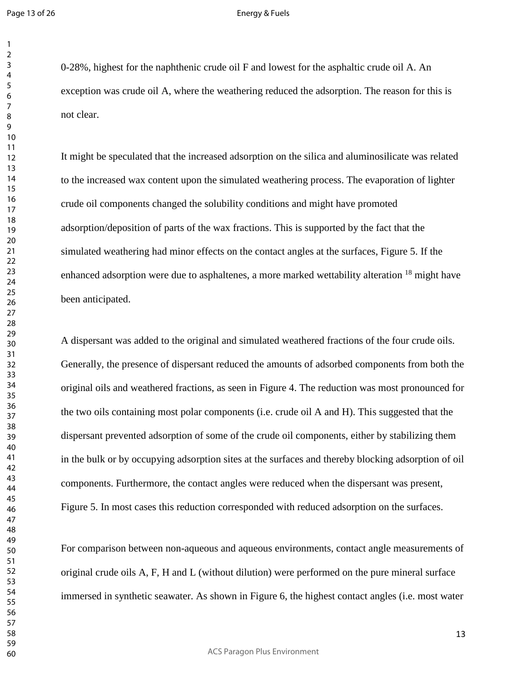#### Energy & Fuels

0-28%, highest for the naphthenic crude oil F and lowest for the asphaltic crude oil A. An exception was crude oil A, where the weathering reduced the adsorption. The reason for this is not clear.

It might be speculated that the increased adsorption on the silica and aluminosilicate was related to the increased wax content upon the simulated weathering process. The evaporation of lighter crude oil components changed the solubility conditions and might have promoted adsorption/deposition of parts of the wax fractions. This is supported by the fact that the simulated weathering had minor effects on the contact angles at the surfaces, Figure 5. If the enhanced adsorption were due to asphaltenes, a more marked wettability alteration  $^{18}$  might have been anticipated.

A dispersant was added to the original and simulated weathered fractions of the four crude oils. Generally, the presence of dispersant reduced the amounts of adsorbed components from both the original oils and weathered fractions, as seen in Figure 4. The reduction was most pronounced for the two oils containing most polar components (i.e. crude oil A and H). This suggested that the dispersant prevented adsorption of some of the crude oil components, either by stabilizing them in the bulk or by occupying adsorption sites at the surfaces and thereby blocking adsorption of oil components. Furthermore, the contact angles were reduced when the dispersant was present, Figure 5. In most cases this reduction corresponded with reduced adsorption on the surfaces.

For comparison between non-aqueous and aqueous environments, contact angle measurements of original crude oils A, F, H and L (without dilution) were performed on the pure mineral surface immersed in synthetic seawater. As shown in Figure 6, the highest contact angles (i.e. most water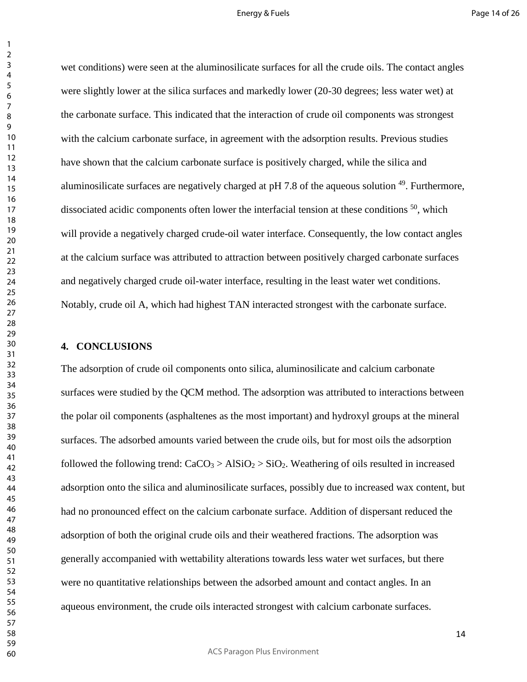#### Energy & Fuels

wet conditions) were seen at the aluminosilicate surfaces for all the crude oils. The contact angles were slightly lower at the silica surfaces and markedly lower (20-30 degrees; less water wet) at the carbonate surface. This indicated that the interaction of crude oil components was strongest with the calcium carbonate surface, in agreement with the adsorption results. Previous studies have shown that the calcium carbonate surface is positively charged, while the silica and aluminosilicate surfaces are negatively charged at  $pH 7.8$  of the aqueous solution  $^{49}$ . Furthermore, dissociated acidic components often lower the interfacial tension at these conditions , which will provide a negatively charged crude-oil water interface. Consequently, the low contact angles at the calcium surface was attributed to attraction between positively charged carbonate surfaces and negatively charged crude oil-water interface, resulting in the least water wet conditions. Notably, crude oil A, which had highest TAN interacted strongest with the carbonate surface.

#### **4. CONCLUSIONS**

The adsorption of crude oil components onto silica, aluminosilicate and calcium carbonate surfaces were studied by the QCM method. The adsorption was attributed to interactions between the polar oil components (asphaltenes as the most important) and hydroxyl groups at the mineral surfaces. The adsorbed amounts varied between the crude oils, but for most oils the adsorption followed the following trend:  $CaCO<sub>3</sub> > AlSiO<sub>2</sub> > SiO<sub>2</sub>$ . Weathering of oils resulted in increased adsorption onto the silica and aluminosilicate surfaces, possibly due to increased wax content, but had no pronounced effect on the calcium carbonate surface. Addition of dispersant reduced the adsorption of both the original crude oils and their weathered fractions. The adsorption was generally accompanied with wettability alterations towards less water wet surfaces, but there were no quantitative relationships between the adsorbed amount and contact angles. In an aqueous environment, the crude oils interacted strongest with calcium carbonate surfaces.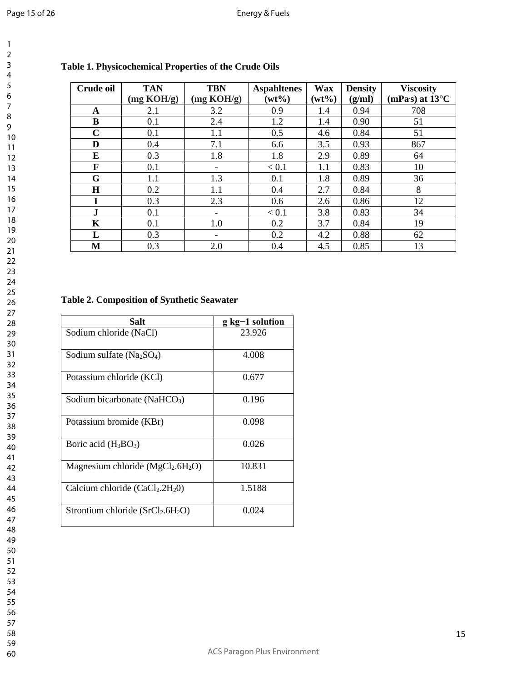| Crude oil    | <b>TAN</b> | <b>TBN</b> | <b>Aspahltenes</b> | <b>Wax</b> | <b>Density</b> | <b>Viscosity</b>         |
|--------------|------------|------------|--------------------|------------|----------------|--------------------------|
|              | (mg KOH/g) | (mg KOH/g) | $(wt\%)$           | $(wt\%)$   | (g/ml)         | (mPas) at $13^{\circ}$ C |
| A            | 2.1        | 3.2        | 0.9                | 1.4        | 0.94           | 708                      |
| B            | 0.1        | 2.4        | 1.2                | 1.4        | 0.90           | 51                       |
| $\mathbf C$  | 0.1        | 1.1        | 0.5                | 4.6        | 0.84           | 51                       |
| D            | 0.4        | 7.1        | 6.6                | 3.5        | 0.93           | 867                      |
| E            | 0.3        | 1.8        | 1.8                | 2.9        | 0.89           | 64                       |
| F            | 0.1        |            | < 0.1              | 1.1        | 0.83           | 10                       |
| G            | 1.1        | 1.3        | 0.1                | 1.8        | 0.89           | 36                       |
| $\bf H$      | 0.2        | 1.1        | 0.4                | 2.7        | 0.84           | 8                        |
|              | 0.3        | 2.3        | 0.6                | 2.6        | 0.86           | 12                       |
| $\mathbf{J}$ | 0.1        |            | < 0.1              | 3.8        | 0.83           | 34                       |
| K            | 0.1        | 1.0        | 0.2                | 3.7        | 0.84           | 19                       |
| L            | 0.3        |            | 0.2                | 4.2        | 0.88           | 62                       |
| M            | 0.3        | 2.0        | 0.4                | 4.5        | 0.85           | 13                       |

# **Table 1. Physicochemical Properties of the Crude Oils**

# **Table 2. Composition of Synthetic Seawater**

| Salt                                     | $g kg-1$ solution |  |  |
|------------------------------------------|-------------------|--|--|
| Sodium chloride (NaCl)                   | 23.926            |  |  |
| Sodium sulfate $(Na_2SO_4)$              | 4.008             |  |  |
| Potassium chloride (KCl)                 | 0.677             |  |  |
| Sodium bicarbonate (NaHCO <sub>3</sub> ) | 0.196             |  |  |
| Potassium bromide (KBr)                  | 0.098             |  |  |
| Boric acid $(H_3BO_3)$                   | 0.026             |  |  |
| Magnesium chloride ( $MgCl2.6H2O$ )      | 10.831            |  |  |
| Calcium chloride $(CaCl2.2H20)$          | 1.5188            |  |  |
| Strontium chloride $(SrCl2.6H2O)$        | 0.024             |  |  |

| 3                       |                 |
|-------------------------|-----------------|
| L                       |                 |
| ļ                       |                 |
|                         |                 |
| ;<br>б                  |                 |
|                         |                 |
| ۶<br>3                  |                 |
| $\mathbf$<br>9          |                 |
|                         |                 |
|                         | 10              |
| 1                       | I               |
| 1                       | $\overline{2}$  |
| 1                       | š               |
|                         |                 |
| 1                       | 1               |
| 1!                      | 5               |
| 16                      | 5               |
| 1                       |                 |
|                         | 18              |
|                         |                 |
|                         | 19              |
|                         | 20              |
| $\overline{2}$          | 1               |
| $\overline{2}$          | $\overline{2}$  |
|                         |                 |
| $\overline{2}$          | 3               |
|                         | $\overline{24}$ |
|                         | 25              |
|                         | 26              |
|                         |                 |
|                         | $\frac{1}{27}$  |
|                         | 28              |
|                         | 29              |
|                         | 30              |
| 3                       |                 |
|                         | 1               |
| $\overline{\mathbf{3}}$ | $\overline{2}$  |
| $\overline{\mathbf{3}}$ | 3               |
|                         | 34              |
|                         | 35              |
|                         |                 |
|                         | 36              |
|                         | $\frac{1}{2}$   |
|                         | 38              |
|                         | 39              |
|                         |                 |
| L                       | ֠               |
|                         | 41              |
|                         | 42              |
|                         | 43              |
|                         | 44              |
|                         |                 |
|                         | 45              |
|                         | 46              |
| 47                      |                 |
|                         | 48              |
|                         |                 |
|                         | 49              |
|                         | 50              |
|                         | 51              |
|                         | 52              |
|                         |                 |
|                         | 53              |
|                         | 54              |
|                         | 55              |
|                         | 56              |
|                         |                 |
|                         | 57              |
|                         | 58              |
|                         | 59              |
|                         | 60              |
|                         |                 |
|                         |                 |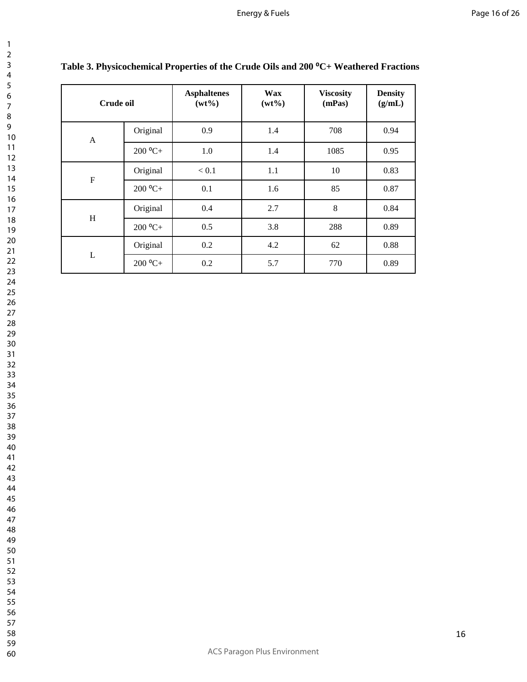| Crude oil      |           | <b>Asphaltenes</b><br>$(wt\%)$ | <b>Wax</b><br>$(wt\%)$ | <b>Viscosity</b><br>(mPas) | <b>Density</b><br>(g/mL) |
|----------------|-----------|--------------------------------|------------------------|----------------------------|--------------------------|
| $\mathbf{A}$   | Original  | 0.9                            | 1.4                    | 708                        | 0.94                     |
|                | $200 °C+$ | 1.0                            | 1.4                    | 1085                       | 0.95                     |
| $\overline{F}$ | Original  | $< 0.1$                        | 1.1                    | 10                         | 0.83                     |
|                | $200 °C+$ | 0.1                            | 1.6                    | 85                         | 0.87                     |
|                | Original  | 0.4                            | 2.7                    | 8                          | 0.84                     |
| H              | $200 °C+$ | 0.5                            | 3.8                    | 288                        | 0.89                     |
|                | Original  | 0.2                            | 4.2                    | 62                         | 0.88                     |
| L              | $200 °C+$ | 0.2                            | 5.7                    | 770                        | 0.89                     |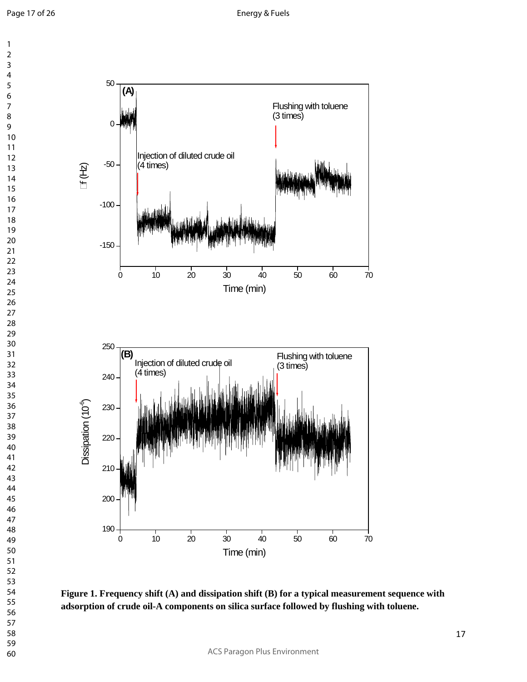



**Figure 1. Frequency shift (A) and dissipation shift (B) for a typical measurement sequence with adsorption of crude oil-A components on silica surface followed by flushing with toluene.**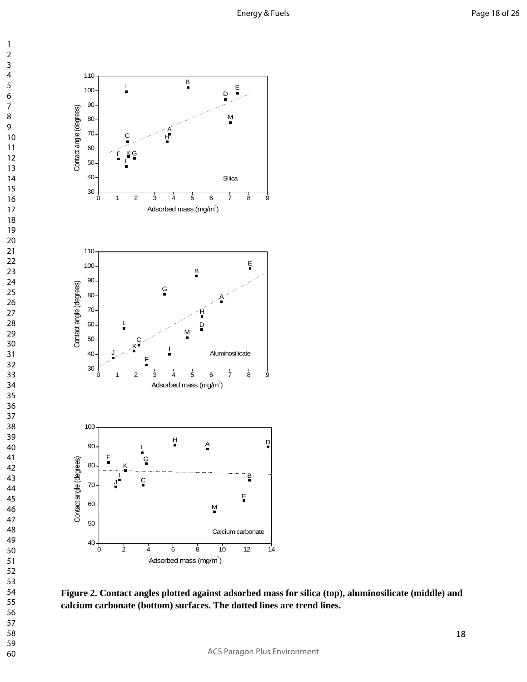

**Figure 2. Contact angles plotted against adsorbed mass for silica (top), aluminosilicate (middle) and calcium carbonate (bottom) surfaces. The dotted lines are trend lines.**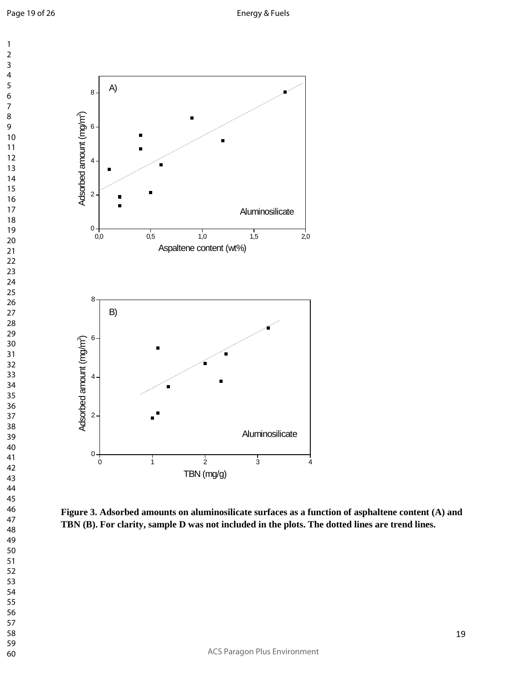

**Figure 3. Adsorbed amounts on aluminosilicate surfaces as a function of asphaltene content (A) and TBN (B). For clarity, sample D was not included in the plots. The dotted lines are trend lines.**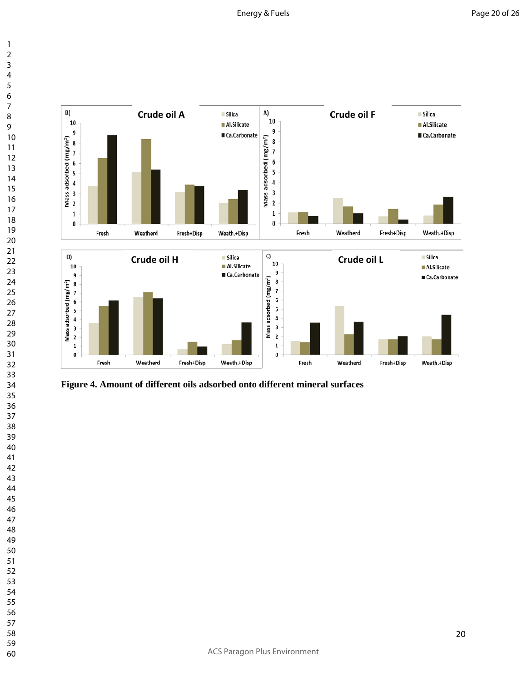

**Figure 4. Amount of different oils adsorbed onto different mineral surfaces**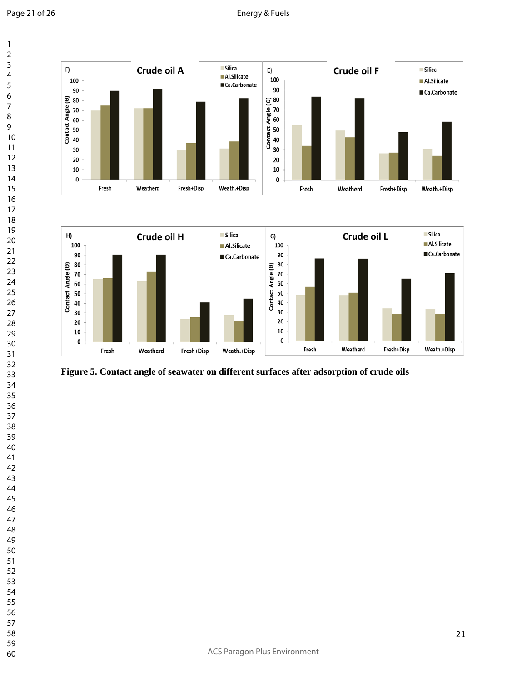${\bf 20}$ 

 ${\bf 10}$ 

Fresh

Weatherd

Fresh+Disp



 $\pmb{0}$ 

Fresh

Weatherd

Fresh+Disp

Weath.+Disp



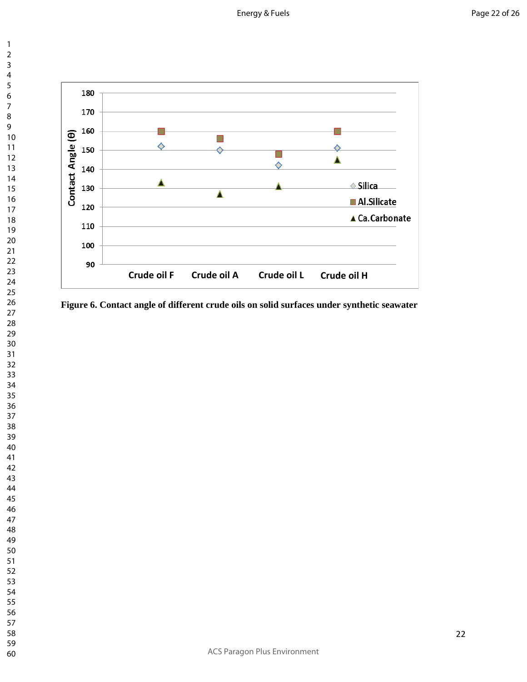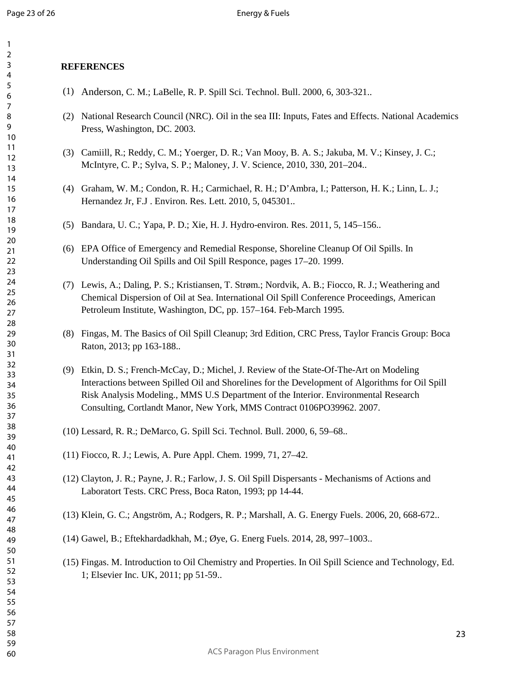## **REFERENCES**

- (1) Anderson, C. M.; LaBelle, R. P. Spill Sci. Technol. Bull. 2000, 6, 303-321..
- (2) National Research Council (NRC). Oil in the sea III: Inputs, Fates and Effects. National Academics Press, Washington, DC. 2003.
- (3) Camiill, R.; Reddy, C. M.; Yoerger, D. R.; Van Mooy, B. A. S.; Jakuba, M. V.; Kinsey, J. C.; McIntyre, C. P.; Sylva, S. P.; Maloney, J. V. Science, 2010, 330, 201–204..
- (4) Graham, W. M.; Condon, R. H.; Carmichael, R. H.; D'Ambra, I.; Patterson, H. K.; Linn, L. J.; Hernandez Jr, F.J . Environ. Res. Lett. 2010, 5, 045301..
- (5) Bandara, U. C.; Yapa, P. D.; Xie, H. J. Hydro-environ. Res. 2011, 5, 145–156..
- (6) EPA Office of Emergency and Remedial Response, Shoreline Cleanup Of Oil Spills. In Understanding Oil Spills and Oil Spill Responce, pages 17–20. 1999.
- (7) Lewis, A.; Daling, P. S.; Kristiansen, T. Strøm.; Nordvik, A. B.; Fiocco, R. J.; Weathering and Chemical Dispersion of Oil at Sea. International Oil Spill Conference Proceedings, American Petroleum Institute, Washington, DC, pp. 157–164. Feb-March 1995.
- (8) Fingas, M. The Basics of Oil Spill Cleanup; 3rd Edition, CRC Press, Taylor Francis Group: Boca Raton, 2013; pp 163-188..
- (9) Etkin, D. S.; French-McCay, D.; Michel, J. Review of the State-Of-The-Art on Modeling Interactions between Spilled Oil and Shorelines for the Development of Algorithms for Oil Spill Risk Analysis Modeling., MMS U.S Department of the Interior. Environmental Research Consulting, Cortlandt Manor, New York, MMS Contract 0106PO39962. 2007.
- (10) Lessard, R. R.; DeMarco, G. Spill Sci. Technol. Bull. 2000, 6, 59–68..
- (11) Fiocco, R. J.; Lewis, A. Pure Appl. Chem. 1999, 71, 27–42.
- (12) Clayton, J. R.; Payne, J. R.; Farlow, J. S. Oil Spill Dispersants Mechanisms of Actions and Laboratort Tests. CRC Press, Boca Raton, 1993; pp 14-44.
- (13) Klein, G. C.; Angström, A.; Rodgers, R. P.; Marshall, A. G. Energy Fuels. 2006, 20, 668-672..
- (14) Gawel, B.; Eftekhardadkhah, M.; Øye, G. Energ Fuels. 2014, 28, 997–1003..
- (15) Fingas. M. Introduction to Oil Chemistry and Properties. In Oil Spill Science and Technology, Ed. 1; Elsevier Inc. UK, 2011; pp 51-59..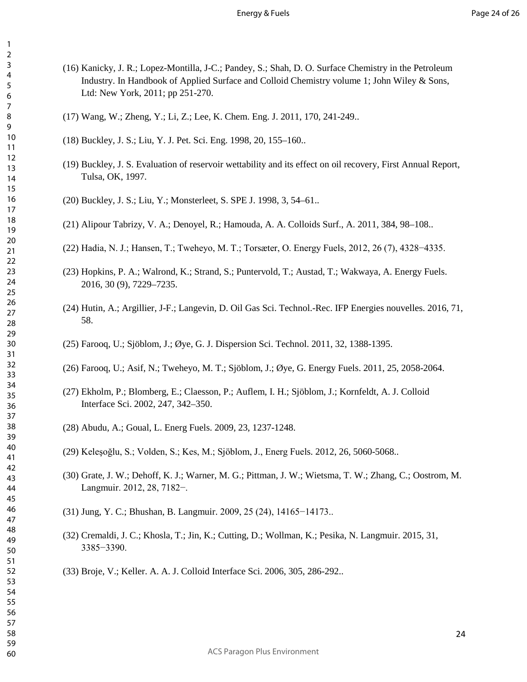- (16) Kanicky, J. R.; Lopez-Montilla, J-C.; Pandey, S.; Shah, D. O. Surface Chemistry in the Petroleum Industry. In Handbook of Applied Surface and Colloid Chemistry volume 1; John Wiley & Sons, Ltd: New York, 2011; pp 251-270.
- (17) Wang, W.; Zheng, Y.; Li, Z.; Lee, K. Chem. Eng. J. 2011, 170, 241-249..
- (18) Buckley, J. S.; Liu, Y. J. Pet. Sci. Eng. 1998, 20, 155–160..
- (19) Buckley, J. S. Evaluation of reservoir wettability and its effect on oil recovery, First Annual Report, Tulsa, OK, 1997.
- (20) Buckley, J. S.; Liu, Y.; Monsterleet, S. SPE J. 1998, 3, 54–61..
- (21) Alipour Tabrizy, V. A.; Denoyel, R.; Hamouda, A. A. Colloids Surf., A. 2011, 384, 98–108..
- (22) Hadia, N. J.; Hansen, T.; Tweheyo, M. T.; Torsæter, O. Energy Fuels, 2012, 26 (7), 4328−4335.
- (23) Hopkins, P. A.; Walrond, K.; Strand, S.; Puntervold, T.; Austad, T.; Wakwaya, A. Energy Fuels. 2016, 30 (9), 7229–7235.
- (24) Hutin, A.; Argillier, J-F.; Langevin, D. Oil Gas Sci. Technol.-Rec. IFP Energies nouvelles. 2016, 71, 58.
- (25) Farooq, U.; Sjöblom, J.; Øye, G. J. Dispersion Sci. Technol. 2011, 32, 1388-1395.
- (26) Farooq, U.; Asif, N.; Tweheyo, M. T.; Sjöblom, J.; Øye, G. Energy Fuels. 2011, 25, 2058-2064.
- (27) Ekholm, P.; Blomberg, E.; Claesson, P.; Auflem, I. H.; Sjöblom, J.; Kornfeldt, A. J. Colloid Interface Sci. 2002, 247, 342–350.
- (28) Abudu, A.; Goual, L. Energ Fuels. 2009, 23, 1237-1248.
- (29) Keleşoğlu, S.; Volden, S.; Kes, M.; Sjöblom, J., Energ Fuels. 2012, 26, 5060-5068..
- (30) Grate, J. W.; Dehoff, K. J.; Warner, M. G.; Pittman, J. W.; Wietsma, T. W.; Zhang, C.; Oostrom, M. Langmuir. 2012, 28, 7182−.
- (31) Jung, Y. C.; Bhushan, B. Langmuir. 2009, 25 (24), 14165−14173..
- (32) Cremaldi, J. C.; Khosla, T.; Jin, K.; Cutting, D.; Wollman, K.; Pesika, N. Langmuir. 2015, 31, 3385−3390.
- (33) Broje, V.; Keller. A. A. J. Colloid Interface Sci. 2006, 305, 286-292..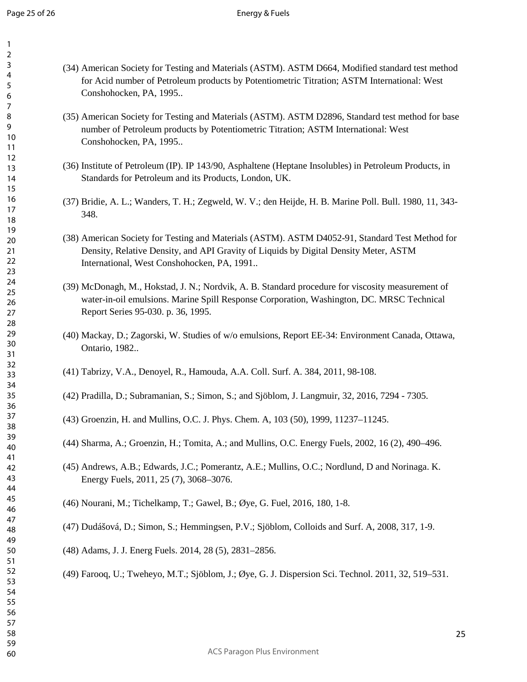- (34) American Society for Testing and Materials (ASTM). ASTM D664, Modified standard test method for Acid number of Petroleum products by Potentiometric Titration; ASTM International: West Conshohocken, PA, 1995..
- (35) American Society for Testing and Materials (ASTM). ASTM D2896, Standard test method for base number of Petroleum products by Potentiometric Titration; ASTM International: West Conshohocken, PA, 1995..
- (36) Institute of Petroleum (IP). IP 143/90, Asphaltene (Heptane Insolubles) in Petroleum Products, in Standards for Petroleum and its Products, London, UK.
- (37) Bridie, A. L.; Wanders, T. H.; Zegweld, W. V.; den Heijde, H. B. Marine Poll. Bull. 1980, 11, 343- 348.
- (38) American Society for Testing and Materials (ASTM). ASTM D4052-91, Standard Test Method for Density, Relative Density, and API Gravity of Liquids by Digital Density Meter, ASTM International, West Conshohocken, PA, 1991..
- (39) McDonagh, M., Hokstad, J. N.; Nordvik, A. B. Standard procedure for viscosity measurement of water-in-oil emulsions. Marine Spill Response Corporation, Washington, DC. MRSC Technical Report Series 95-030. p. 36, 1995.
- (40) Mackay, D.; Zagorski, W. Studies of w/o emulsions, Report EE-34: Environment Canada, Ottawa, Ontario, 1982..
- (41) Tabrizy, V.A., Denoyel, R., Hamouda, A.A. Coll. Surf. A. 384, 2011, 98-108.
- (42) Pradilla, D.; Subramanian, S.; Simon, S.; and Sjöblom, J. Langmuir, 32, 2016, 7294 7305.
- (43) Groenzin, H. and Mullins, O.C. J. Phys. Chem. A, 103 (50), 1999, 11237–11245.
- (44) Sharma, A.; Groenzin, H.; Tomita, A.; and Mullins, O.C. Energy Fuels, 2002, 16 (2), 490–496.
- (45) Andrews, A.B.; Edwards, J.C.; Pomerantz, A.E.; Mullins, O.C.; Nordlund, D and Norinaga. K. Energy Fuels, 2011, 25 (7), 3068–3076.
- (46) Nourani, M.; Tichelkamp, T.; Gawel, B.; Øye, G. Fuel, 2016, 180, 1-8.
- (47) Dudášová, D.; Simon, S.; Hemmingsen, P.V.; Sjöblom, Colloids and Surf. A, 2008, 317, 1-9.
- (48) Adams, J. J. Energ Fuels. 2014, 28 (5), 2831–2856.
- (49) Farooq, U.; Tweheyo, M.T.; Sjöblom, J.; Øye, G. J. Dispersion Sci. Technol. 2011, 32, 519–531.